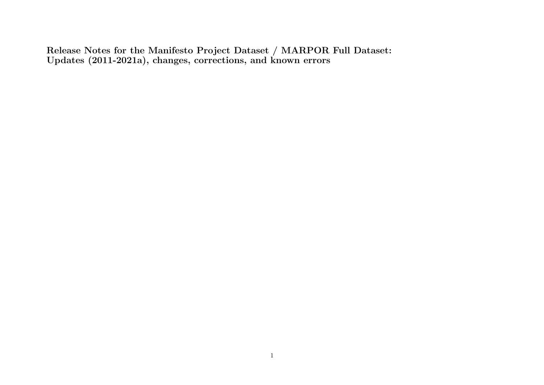Release Notes for the Manifesto Project Dataset / MARPOR Full Dataset: Updates (2011-2021a), changes, corrections, and known errors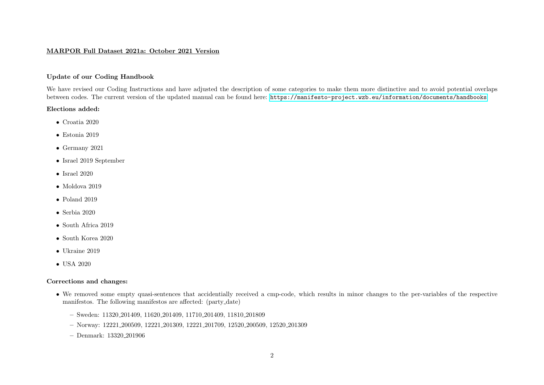## MARPOR Full Dataset 2021a: October 2021 Version

# Update of our Coding Handbook

We have revised our Coding Instructions and have adjusted the description of some categories to make them more distinctive and to avoid potential overlaps between codes. The current version of the updated manual can be found here: <https://manifesto-project.wzb.eu/information/documents/handbooks>

#### Elections added:

- Croatia 2020
- Estonia 2019
- Germany 2021
- Israel 2019 September
- Israel  $2020$
- Moldova 2019
- Poland 2019
- Serbia 2020
- South Africa 2019
- South Korea 2020
- Ukraine 2019
- USA 2020

- We removed some empty quasi-sentences that accidentially received a cmp-code, which results in minor changes to the per-variables of the respective manifestos. The following manifestos are affected: (party date)
	- Sweden: 11320 201409, 11620 201409, 11710 201409, 11810 201809
	- Norway: 12221 200509, 12221 201309, 12221 201709, 12520 200509, 12520 201309
	- Denmark: 13320 201906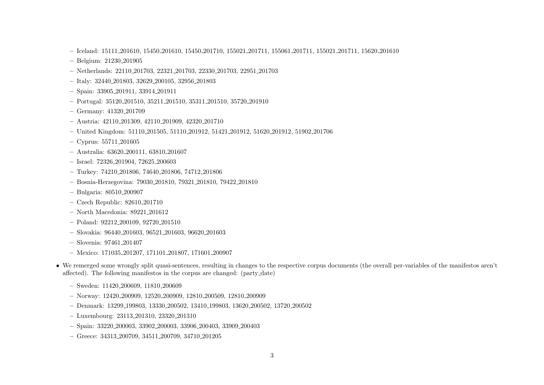- Iceland: 15111 201610, 15450 201610, 15450 201710, 155021 201711, 155061 201711, 155021 201711, 15620 201610
- Belgium: 21230 201905
- Netherlands: 22110 201703, 22321 201703, 22330 201703, 22951 201703
- Italy: 32440 201803, 32629 200105, 32956 201803
- Spain: 33905 201911, 33914 201911
- Portugal: 35120 201510, 35211 201510, 35311 201510, 35720 201910
- Germany: 41320 201709
- Austria: 42110 201309, 42110 201909, 42320 201710
- United Kingdom: 51110 201505, 51110 201912, 51421 201912, 51620 201912, 51902 201706
- Cyprus: 55711 201605
- Australia: 63620 200111, 63810 201607
- Israel: 72326 201904, 72625 200603
- Turkey: 74210 201806, 74640 201806, 74712 201806
- Bosnia-Herzegovina: 79030 201810, 79321 201810, 79422 201810
- Bulgaria: 80510 200907
- Czech Republic: 82610 201710
- North Macedonia: 89221 201612
- Poland: 92212 200109, 92720 201510
- Slovakia: 96440 201603, 96521 201603, 96620 201603
- Slovenia: 97461 201407
- Mexico: 171035 201207, 171101 201807, 171601 200907
- We remerged some wrongly split quasi-sentences, resulting in changes to the respective corpus documents (the overall per-variables of the manifestos aren't affected). The following manifestos in the corpus are changed: (party date)
	- Sweden: 11420 200609, 11810 200609
	- Norway: 12420 200909, 12520 200909, 12810 200509, 12810 200909
	- Denmark: 13299 199803, 13330 200502, 13410 199803, 13620 200502, 13720 200502
	- Luxembourg: 23113 201310, 23320 201310
	- Spain: 33220 200003, 33902 200003, 33906 200403, 33909 200403
	- Greece: 34313 200709, 34511 200709, 34710 201205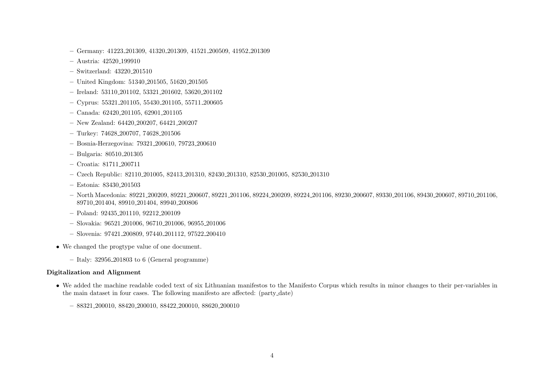- Germany: 41223 201309, 41320 201309, 41521 200509, 41952 201309
- Austria: 42520 199910
- Switzerland: 43220 201510
- United Kingdom: 51340 201505, 51620 201505
- Ireland: 53110 201102, 53321 201602, 53620 201102
- Cyprus: 55321 201105, 55430 201105, 55711 200605
- Canada: 62420 201105, 62901 201105
- New Zealand: 64420 200207, 64421 200207
- Turkey: 74628 200707, 74628 201506
- Bosnia-Herzegovina: 79321 200610, 79723 200610
- Bulgaria: 80510 201305
- Croatia: 81711 200711
- Czech Republic: 82110 201005, 82413 201310, 82430 201310, 82530 201005, 82530 201310
- Estonia: 83430 201503
- North Macedonia: 89221 200209, 89221 200607, 89221 201106, 89224 200209, 89224 201106, 89230 200607, 89330 201106, 89430 200607, 89710 201106, 89710 201404, 89910 201404, 89940 200806
- Poland: 92435 201110, 92212 200109
- Slovakia: 96521 201006, 96710 201006, 96955 201006
- Slovenia: 97421 200809, 97440 201112, 97522 200410
- We changed the progtype value of one document.
	- Italy:  $32956 \cdot 201803$  to 6 (General programme)

#### Digitalization and Alignment

- We added the machine readable coded text of six Lithuanian manifestos to the Manifesto Corpus which results in minor changes to their per-variables in the main dataset in four cases. The following manifesto are affected: (party date)
	- 88321 200010, 88420 200010, 88422 200010, 88620 200010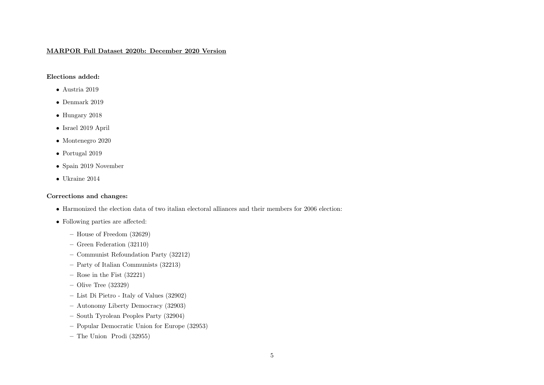# MARPOR Full Dataset 2020b: December 2020 Version

# Elections added:

- Austria 2019
- Denmark 2019
- Hungary 2018
- Israel 2019 April
- Montenegro 2020
- Portugal 2019
- Spain 2019 November
- Ukraine 2014

- Harmonized the election data of two italian electoral alliances and their members for 2006 election:
- Following parties are affected:
	- House of Freedom (32629)
	- Green Federation (32110)
	- Communist Refoundation Party (32212)
	- Party of Italian Communists (32213)
	- Rose in the Fist  $(32221)$
	- Olive Tree (32329)
	- List Di Pietro Italy of Values (32902)
	- Autonomy Liberty Democracy (32903)
	- South Tyrolean Peoples Party (32904)
	- Popular Democratic Union for Europe (32953)
	- The Union Prodi (32955)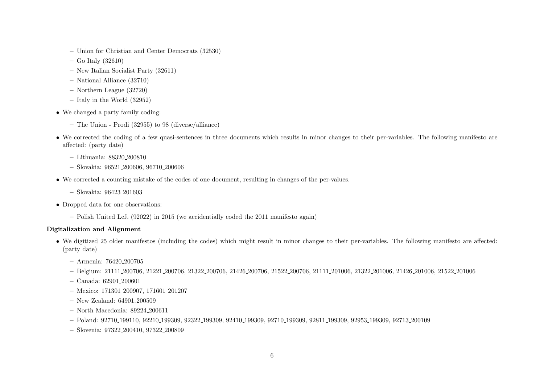- Union for Christian and Center Democrats (32530)
- Go Italy (32610)
- New Italian Socialist Party (32611)
- National Alliance (32710)
- Northern League (32720)
- Italy in the World (32952)
- We changed a party family coding:
	- The Union Prodi (32955) to 98 (diverse/alliance)
- We corrected the coding of a few quasi-sentences in three documents which results in minor changes to their per-variables. The following manifesto are affected: (party date)
	- Lithuania: 88320 200810
	- Slovakia: 96521 200606, 96710 200606
- We corrected a counting mistake of the codes of one document, resulting in changes of the per-values.
	- Slovakia: 96423 201603
- Dropped data for one observations:
	- Polish United Left (92022) in 2015 (we accidentially coded the 2011 manifesto again)

# Digitalization and Alignment

- We digitized 25 older manifestos (including the codes) which might result in minor changes to their per-variables. The following manifesto are affected: (party date)
	- Armenia: 76420 200705
	- Belgium: 21111 200706, 21221 200706, 21322 200706, 21426 200706, 21522 200706, 21111 201006, 21322 201006, 21426 201006, 21522 201006
	- Canada: 62901 200601
	- Mexico: 171301 200907, 171601 201207
	- New Zealand: 64901 200509
	- North Macedonia: 89224 200611
	- Poland: 92710 199110, 92210 199309, 92322 199309, 92410 199309, 92710 199309, 92811 199309, 92953 199309, 92713 200109
	- Slovenia: 97322 200410, 97322 200809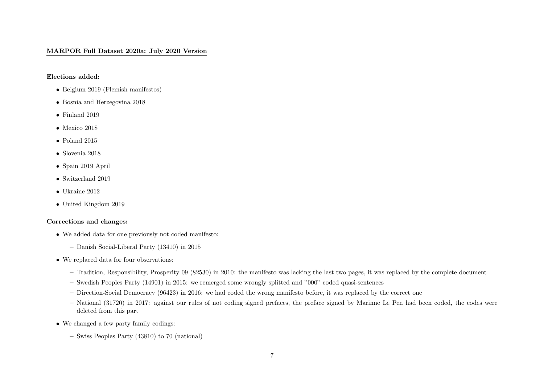# MARPOR Full Dataset 2020a: July 2020 Version

Elections added:

- Belgium 2019 (Flemish manifestos)
- Bosnia and Herzegovina 2018
- Finland 2019
- Mexico 2018
- Poland 2015
- Slovenia 2018
- Spain 2019 April
- Switzerland 2019
- Ukraine 2012
- United Kingdom 2019

- We added data for one previously not coded manifesto:
	- Danish Social-Liberal Party (13410) in 2015
- We replaced data for four observations:
	- Tradition, Responsibility, Prosperity 09 (82530) in 2010: the manifesto was lacking the last two pages, it was replaced by the complete document
	- Swedish Peoples Party (14901) in 2015: we remerged some wrongly splitted and "000" coded quasi-sentences
	- Direction-Social Democracy (96423) in 2016: we had coded the wrong manifesto before, it was replaced by the correct one
	- National (31720) in 2017: against our rules of not coding signed prefaces, the preface signed by Marinne Le Pen had been coded, the codes were deleted from this part
- We changed a few party family codings:
	- Swiss Peoples Party (43810) to 70 (national)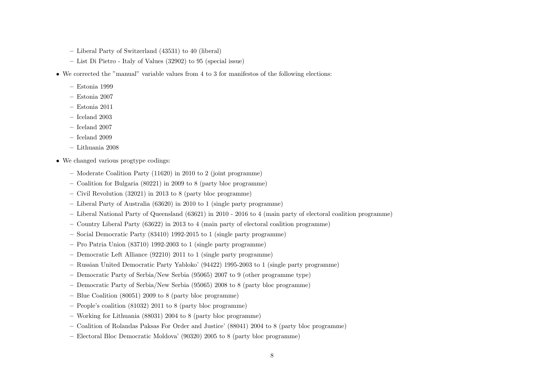- Liberal Party of Switzerland (43531) to 40 (liberal)
- List Di Pietro Italy of Values (32902) to 95 (special issue)
- We corrected the "manual" variable values from 4 to 3 for manifestos of the following elections:
	- Estonia 1999
	- Estonia 2007
	- Estonia 2011
	- Iceland 2003
	- Iceland 2007
	- Iceland 2009
	- Lithuania 2008
- We changed various progtype codings:
	- Moderate Coalition Party (11620) in 2010 to 2 (joint programme)
	- Coalition for Bulgaria (80221) in 2009 to 8 (party bloc programme)
	- Civil Revolution (32021) in 2013 to 8 (party bloc programme)
	- Liberal Party of Australia (63620) in 2010 to 1 (single party programme)
	- Liberal National Party of Queensland (63621) in 2010 2016 to 4 (main party of electoral coalition programme)
	- Country Liberal Party (63622) in 2013 to 4 (main party of electoral coalition programme)
	- Social Democratic Party (83410) 1992-2015 to 1 (single party programme)
	- Pro Patria Union (83710) 1992-2003 to 1 (single party programme)
	- Democratic Left Alliance (92210) 2011 to 1 (single party programme)
	- Russian United Democratic Party Yabloko' (94422) 1995-2003 to 1 (single party programme)
	- Democratic Party of Serbia/New Serbia (95065) 2007 to 9 (other programme type)
	- Democratic Party of Serbia/New Serbia (95065) 2008 to 8 (party bloc programme)
	- Blue Coalition (80051) 2009 to 8 (party bloc programme)
	- People's coalition (81032) 2011 to 8 (party bloc programme)
	- Working for Lithuania (88031) 2004 to 8 (party bloc programme)
	- Coalition of Rolandas Paksas For Order and Justice' (88041) 2004 to 8 (party bloc programme)
	- Electoral Bloc Democratic Moldova' (90320) 2005 to 8 (party bloc programme)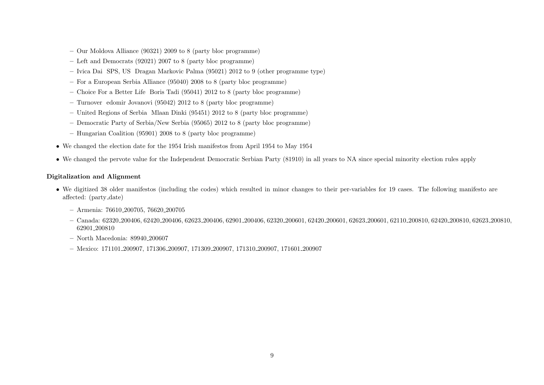- Our Moldova Alliance (90321) 2009 to 8 (party bloc programme)
- Left and Democrats (92021) 2007 to 8 (party bloc programme)
- Ivica Dai SPS, US Dragan Markovic Palma (95021) 2012 to 9 (other programme type)
- For a European Serbia Alliance (95040) 2008 to 8 (party bloc programme)
- Choice For a Better Life Boris Tadi (95041) 2012 to 8 (party bloc programme)
- Turnover edomir Jovanovi (95042) 2012 to 8 (party bloc programme)
- United Regions of Serbia Mlaan Dinki (95451) 2012 to 8 (party bloc programme)
- Democratic Party of Serbia/New Serbia (95065) 2012 to 8 (party bloc programme)
- Hungarian Coalition (95901) 2008 to 8 (party bloc programme)
- We changed the election date for the 1954 Irish manifestos from April 1954 to May 1954
- We changed the pervote value for the Independent Democratic Serbian Party (81910) in all years to NA since special minority election rules apply

# Digitalization and Alignment

- We digitized 38 older manifestos (including the codes) which resulted in minor changes to their per-variables for 19 cases. The following manifesto are affected: (party date)
	- Armenia: 76610 200705, 76620 200705
	- $-$  Canada: 62320 200406, 62420 200406, 62623 200406, 62901 200406, 62320 200601, 62420 200601, 62623 200601, 62110 200810, 62420 200810, 62623 200810, 62901 200810
	- North Macedonia: 89940 200607
	- Mexico: 171101 200907, 171306 200907, 171309 200907, 171310 200907, 171601 200907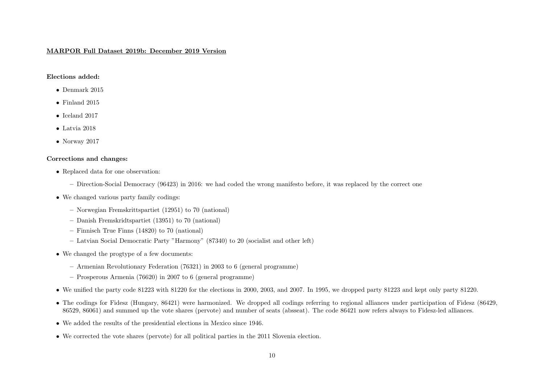#### MARPOR Full Dataset 2019b: December 2019 Version

#### Elections added:

- Denmark 2015
- Finland 2015
- Iceland 2017
- Latvia 2018
- Norway 2017

- Replaced data for one observation:
	- Direction-Social Democracy (96423) in 2016: we had coded the wrong manifesto before, it was replaced by the correct one
- We changed various party family codings:
	- Norwegian Fremskrittspartiet (12951) to 70 (national)
	- Danish Fremskridtspartiet (13951) to 70 (national)
	- Finnisch True Finns (14820) to 70 (national)
	- Latvian Social Democratic Party "Harmony" (87340) to 20 (socialist and other left)
- We changed the progtype of a few documents:
	- Armenian Revolutionary Federation (76321) in 2003 to 6 (general programme)
	- Prosperous Armenia (76620) in 2007 to 6 (general programme)
- We unified the party code 81223 with 81220 for the elections in 2000, 2003, and 2007. In 1995, we dropped party 81223 and kept only party 81220.
- The codings for Fidesz (Hungary, 86421) were harmonized. We dropped all codings referring to regional alliances under participation of Fidesz (86429, 86529, 86061) and summed up the vote shares (pervote) and number of seats (absseat). The code 86421 now refers always to Fidesz-led alliances.
- We added the results of the presidential elections in Mexico since 1946.
- We corrected the vote shares (pervote) for all political parties in the 2011 Slovenia election.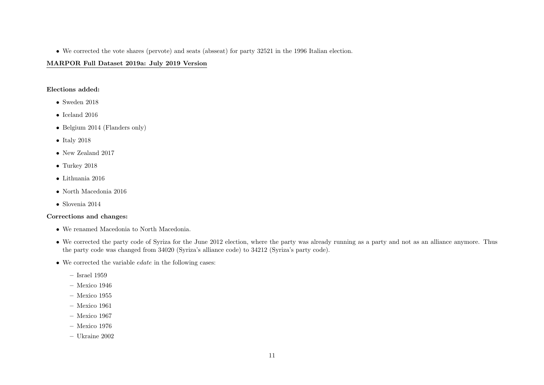• We corrected the vote shares (pervote) and seats (absseat) for party 32521 in the 1996 Italian election.

# MARPOR Full Dataset 2019a: July 2019 Version

#### Elections added:

- Sweden 2018
- Iceland 2016
- Belgium 2014 (Flanders only)
- Italy 2018
- New Zealand 2017
- Turkey 2018
- Lithuania 2016
- North Macedonia 2016
- Slovenia 2014

- We renamed Macedonia to North Macedonia.
- We corrected the party code of Syriza for the June 2012 election, where the party was already running as a party and not as an alliance anymore. Thus the party code was changed from 34020 (Syriza's alliance code) to 34212 (Syriza's party code).
- We corrected the variable edate in the following cases:
	- Israel 1959
	- Mexico 1946
	- Mexico 1955
	- Mexico 1961
	- Mexico 1967
	- Mexico 1976
	- Ukraine 2002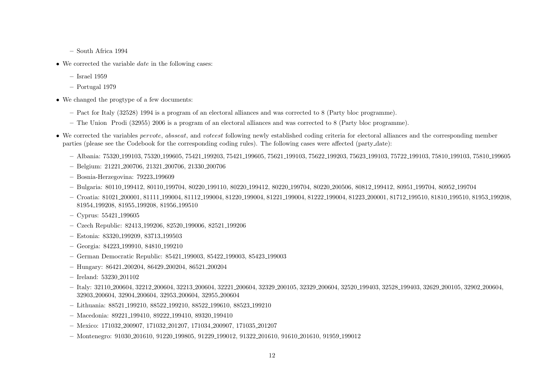- South Africa 1994
- We corrected the variable  $date$  in the following cases:
	- Israel 1959
	- Portugal 1979
- We changed the progtype of a few documents:
	- Pact for Italy (32528) 1994 is a program of an electoral alliances and was corrected to 8 (Party bloc programme).
	- The Union Prodi (32955) 2006 is a program of an electoral alliances and was corrected to 8 (Party bloc programme).
- We corrected the variables *pervote*, absseat, and voteest following newly established coding criteria for electoral alliances and the corresponding member parties (please see the Codebook for the corresponding coding rules). The following cases were affected (party date):
	- Albania: 75320 199103, 75320 199605, 75421 199203, 75421 199605, 75621 199103, 75622 199203, 75623 199103, 75722 199103, 75810 199103, 75810 199605
	- Belgium: 21221 200706, 21321 200706, 21330 200706
	- Bosnia-Herzegovina: 79223 199609
	- Bulgaria: 80110 199412, 80110 199704, 80220 199110, 80220 199412, 80220 199704, 80220 200506, 80812 199412, 80951 199704, 80952 199704
	- Croatia: 81021 200001, 81111 199004, 81112 199004, 81220 199004, 81221 199004, 81222 199004, 81223 200001, 81712 199510, 81810 199510, 81953 199208, 81954 199208, 81955 199208, 81956 199510
	- Cyprus: 55421 199605
	- Czech Republic: 82413 199206, 82520 199006, 82521 199206
	- Estonia: 83320 199209, 83713 199503
	- Georgia: 84223 199910, 84810 199210
	- German Democratic Republic: 85421 199003, 85422 199003, 85423 199003
	- Hungary: 86421 200204, 86429 200204, 86521 200204
	- Ireland: 53230 201102
	- Italy: 32110 200604, 32212 200604, 32213 200604, 32221 200604, 32329 200105, 32329 200604, 32520 199403, 32528 199403, 32629 200105, 32902 200604, 32903 200604, 32904 200604, 32953 200604, 32955 200604
	- Lithuania: 88521 199210, 88522 199210, 88522 199610, 88523 199210
	- Macedonia: 89221 199410, 89222 199410, 89320 199410
	- Mexico: 171032 200907, 171032 201207, 171034 200907, 171035 201207
	- Montenegro: 91030 201610, 91220 199805, 91229 199012, 91322 201610, 91610 201610, 91959 199012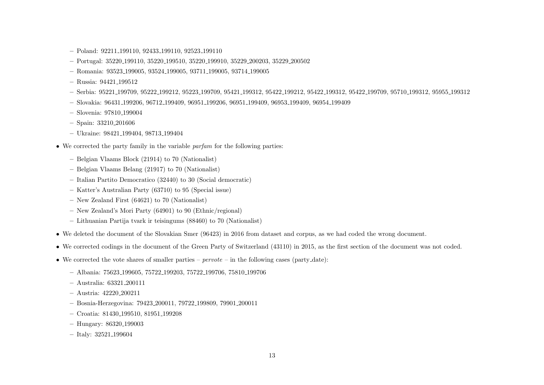- Poland: 92211 199110, 92433 199110, 92523 199110
- Portugal: 35220 199110, 35220 199510, 35220 199910, 35229 200203, 35229 200502
- Romania: 93523 199005, 93524 199005, 93711 199005, 93714 199005
- Russia: 94421 199512
- Serbia: 95221 199709, 95222 199212, 95223 199709, 95421 199312, 95422 199212, 95422 199312, 95422 199709, 95710 199312, 95955 199312
- Slovakia: 96431 199206, 96712 199409, 96951 199206, 96951 199409, 96953 199409, 96954 199409
- Slovenia: 97810 199004
- Spain: 33210 201606
- Ukraine: 98421 199404, 98713 199404
- We corrected the party family in the variable partam for the following parties:
	- Belgian Vlaams Block (21914) to 70 (Nationalist)
	- Belgian Vlaams Belang (21917) to 70 (Nationalist)
	- Italian Partito Democratico (32440) to 30 (Social democratic)
	- Katter's Australian Party (63710) to 95 (Special issue)
	- New Zealand First (64621) to 70 (Nationalist)
	- New Zealand's Mori Party (64901) to 90 (Ethnic/regional)
	- Lithuanian Partija tvark ir teisingums (88460) to 70 (Nationalist)
- We deleted the document of the Slovakian Smer (96423) in 2016 from dataset and corpus, as we had coded the wrong document.
- We corrected codings in the document of the Green Party of Switzerland (43110) in 2015, as the first section of the document was not coded.
- We corrected the vote shares of smaller parties  $pervote$  in the following cases (party-date):
	- Albania: 75623 199605, 75722 199203, 75722 199706, 75810 199706
	- Australia: 63321 200111
	- Austria: 42220 200211
	- Bosnia-Herzegovina: 79423 200011, 79722 199809, 79901 200011
	- Croatia: 81430 199510, 81951 199208
	- Hungary: 86320 199003
	- Italy: 32521 199604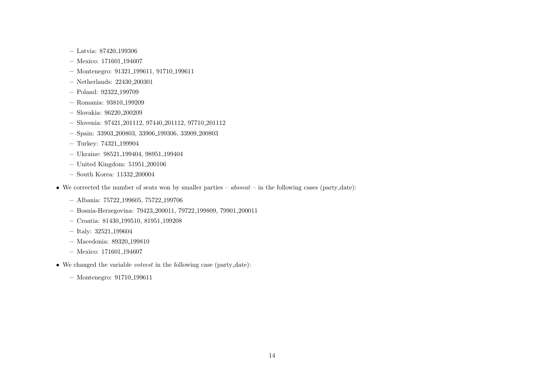- Latvia: 87420 199306
- Mexico: 171601 194607
- Montenegro: 91321 199611, 91710 199611
- Netherlands: 22430 200301
- Poland: 92322 199709
- Romania: 93810 199209
- Slovakia: 96220 200209
- Slovenia: 97421 201112, 97440 201112, 97710 201112
- Spain: 33903 200803, 33906 199306, 33909 200803
- Turkey: 74321 199904
- Ukraine: 98521 199404, 98951 199404
- United Kingdom: 51951 200106
- South Korea: 11332 200004
- We corrected the number of seats won by smaller parties  $aboseat$  in the following cases (party-date):
	- Albania: 75722 199605, 75722 199706
	- Bosnia-Herzegovina: 79423 200011, 79722 199809, 79901 200011
	- Croatia: 81430 199510, 81951 199208
	- Italy: 32521 199604
	- Macedonia: 89320 199810
	- Mexico: 171601 194607
- We changed the variable voteest in the following case (party date):
	- Montenegro: 91710 199611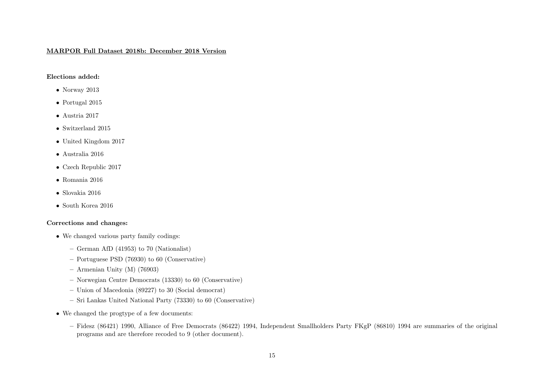#### MARPOR Full Dataset 2018b: December 2018 Version

# Elections added:

- Norway 2013
- Portugal 2015
- Austria 2017
- Switzerland 2015
- United Kingdom 2017
- Australia 2016
- Czech Republic 2017
- $\bullet~$ Romania 2016
- Slovakia 2016
- South Korea 2016

- We changed various party family codings:
	- German AfD (41953) to 70 (Nationalist)
	- Portuguese PSD (76930) to 60 (Conservative)
	- Armenian Unity (M) (76903)
	- Norwegian Centre Democrats (13330) to 60 (Conservative)
	- Union of Macedonia (89227) to 30 (Social democrat)
	- Sri Lankas United National Party (73330) to 60 (Conservative)
- We changed the progtype of a few documents:
	- Fidesz (86421) 1990, Alliance of Free Democrats (86422) 1994, Independent Smallholders Party FKgP (86810) 1994 are summaries of the original programs and are therefore recoded to 9 (other document).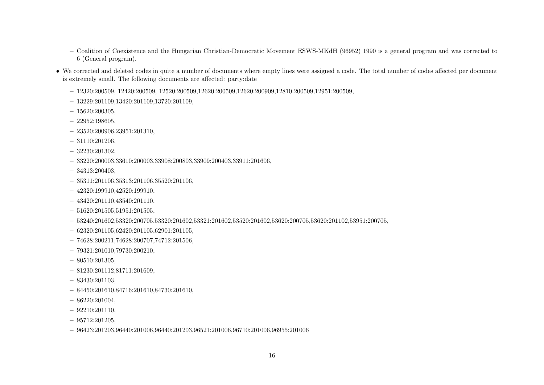- Coalition of Coexistence and the Hungarian Christian-Democratic Movement ESWS-MKdH (96952) 1990 is a general program and was corrected to 6 (General program).
- We corrected and deleted codes in quite a number of documents where empty lines were assigned a code. The total number of codes affected per document is extremely small. The following documents are affected: party:date
	- $-12320:200509, 12420:200509, 12520:200509, 12620:200509, 12620:200909, 12810:200509, 12951:200509,$
	- $-13229:201109,13420:201109,13720:201109,$
	- $-15620:200305$ ,
	- $-22952:198605$
	- $-23520:200906.23951:201310,$
	- 31110:201206,
	- 32230:201302,
	- $-33220:200003,33610:200003,33908:200803,33909:200403,33911:201606,$
	- 34313:200403,
	- $-35311:201106,35313:201106,35520:201106,$
	- 42320:199910,42520:199910,
	- $-43420:201110,43540:201110,$
	- $-51620:201505.51951:201505$
	- $-53240:201602,53320:200705,53320:201602,53321:201602,53520:201602,53620:200705,53620:201102,53951:200705,$
	- $-62320:201105,62420:201105,62901:201105,$
	- 74628:200211,74628:200707,74712:201506,
	- 79321:201010,79730:200210,
	- $-80510:201305,$
	- $-81230:201112.81711:201609$
	- 83430:201103,
	- $-84450:201610.84716:201610.84730:201610,$
	- $-86220:201004,$
	- $-92210:201110,$
	- $-95712:201205,$
	- $-96423:201203.96440:201006.96440:201203.96521:201006.96710:201006.96955:201006$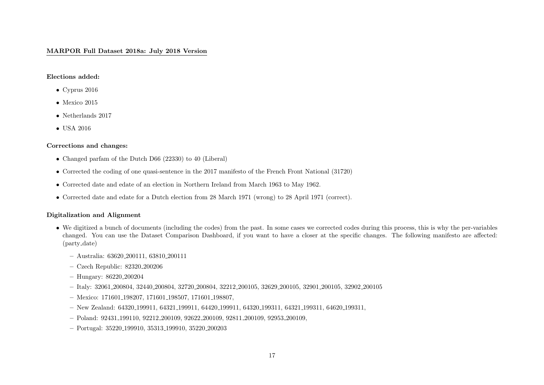#### MARPOR Full Dataset 2018a: July 2018 Version

#### Elections added:

- Cyprus 2016
- Mexico 2015
- Netherlands 2017
- USA 2016

#### Corrections and changes:

- Changed parfam of the Dutch D66 (22330) to 40 (Liberal)
- Corrected the coding of one quasi-sentence in the 2017 manifesto of the French Front National (31720)
- Corrected date and edate of an election in Northern Ireland from March 1963 to May 1962.
- Corrected date and edate for a Dutch election from 28 March 1971 (wrong) to 28 April 1971 (correct).

#### Digitalization and Alignment

- We digitized a bunch of documents (including the codes) from the past. In some cases we corrected codes during this process, this is why the per-variables changed. You can use the Dataset Comparison Dashboard, if you want to have a closer at the specific changes. The following manifesto are affected: (party date)
	- Australia: 63620 200111, 63810 200111
	- Czech Republic: 82320 200206
	- Hungary: 86220 200204
	- Italy: 32061 200804, 32440 200804, 32720 200804, 32212 200105, 32629 200105, 32901 200105, 32902 200105
	- Mexico: 171601 198207, 171601 198507, 171601 198807,
	- New Zealand: 64320 199911, 64321 199911, 64420 199911, 64320 199311, 64321 199311, 64620 199311,
	- Poland: 92431 199110, 92212 200109, 92622 200109, 92811 200109, 92953 200109,
	- Portugal: 35220 199910, 35313 199910, 35220 200203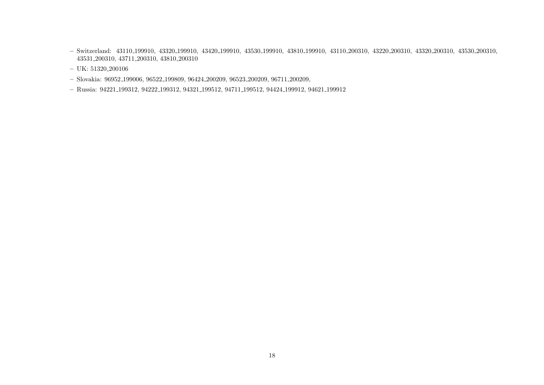- Switzerland: 43110 199910, 43320 199910, 43420 199910, 43530 199910, 43810 199910, 43110 200310, 43220 200310, 43320 200310, 43530 200310, 43531 200310, 43711 200310, 43810 200310
- UK: 51320 200106
- Slovakia: 96952 199006, 96522 199809, 96424 200209, 96523 200209, 96711 200209,
- Russia: 94221 199312, 94222 199312, 94321 199512, 94711 199512, 94424 199912, 94621 199912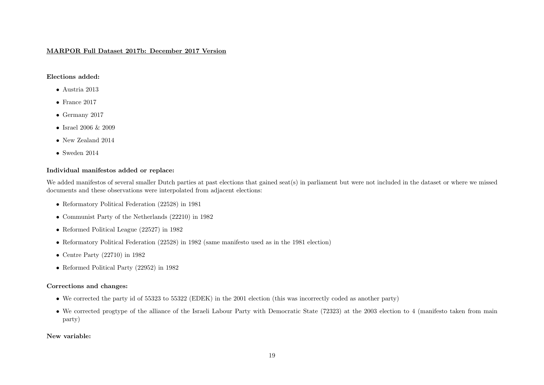#### MARPOR Full Dataset 2017b: December 2017 Version

#### Elections added:

- Austria 2013
- France 2017
- Germany 2017
- Israel 2006 & 2009
- New Zealand 2014
- Sweden 2014

# Individual manifestos added or replace:

We added manifestos of several smaller Dutch parties at past elections that gained seat(s) in parliament but were not included in the dataset or where we missed documents and these observations were interpolated from adjacent elections:

- Reformatory Political Federation (22528) in 1981
- Communist Party of the Netherlands (22210) in 1982
- Reformed Political League (22527) in 1982
- Reformatory Political Federation (22528) in 1982 (same manifesto used as in the 1981 election)
- Centre Party  $(22710)$  in 1982
- Reformed Political Party (22952) in 1982

# Corrections and changes:

- We corrected the party id of 55323 to 55322 (EDEK) in the 2001 election (this was incorrectly coded as another party)
- We corrected progtype of the alliance of the Israeli Labour Party with Democratic State (72323) at the 2003 election to 4 (manifesto taken from main party)

#### New variable: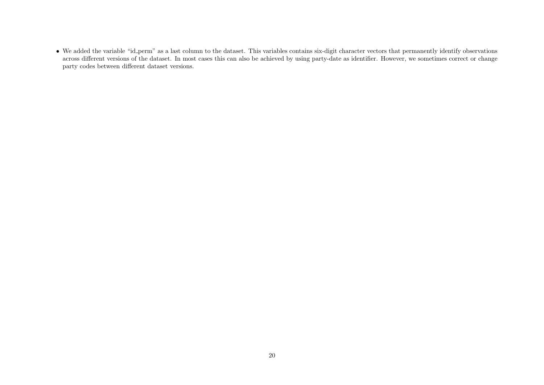• We added the variable "id perm" as a last column to the dataset. This variables contains six-digit character vectors that permanently identify observations across different versions of the dataset. In most cases this can also be achieved by using party-date as identifier. However, we sometimes correct or change party codes between different dataset versions.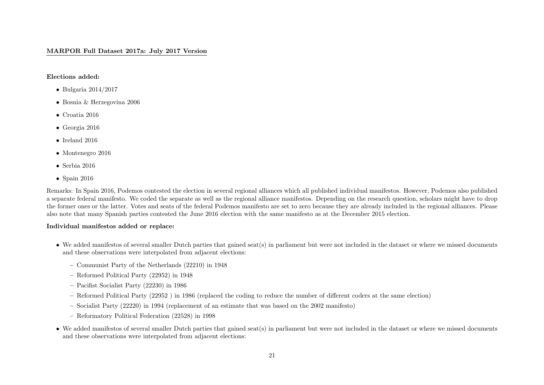#### MARPOR Full Dataset 2017a: July 2017 Version

#### Elections added:

- Bulgaria 2014/2017
- Bosnia & Herzegovina 2006
- Croatia 2016
- Georgia 2016
- $\bullet\,$  Ireland 2016
- Montenegro 2016
- Serbia 2016
- Spain 2016

Remarks: In Spain 2016, Podemos contested the election in several regional alliances which all published individual manifestos. However, Podemos also published a separate federal manifesto. We coded the separate as well as the regional alliance manifestos. Depending on the research question, scholars might have to drop the former ones or the latter. Votes and seats of the federal Podemos manifesto are set to zero because they are already included in the regional alliances. Please also note that many Spanish parties contested the June 2016 election with the same manifesto as at the December 2015 election.

#### Individual manifestos added or replace:

- We added manifestos of several smaller Dutch parties that gained seat(s) in parliament but were not included in the dataset or where we missed documents and these observations were interpolated from adjacent elections:
	- Communist Party of the Netherlands (22210) in 1948
	- Reformed Political Party (22952) in 1948
	- Pacifist Socialist Party (22230) in 1986
	- Reformed Political Party (22952 ) in 1986 (replaced the coding to reduce the number of different coders at the same election)
	- Socialist Party (22220) in 1994 (replacement of an estimate that was based on the 2002 manifesto)
	- Reformatory Political Federation (22528) in 1998
- We added manifestos of several smaller Dutch parties that gained seat(s) in parliament but were not included in the dataset or where we missed documents and these observations were interpolated from adjacent elections: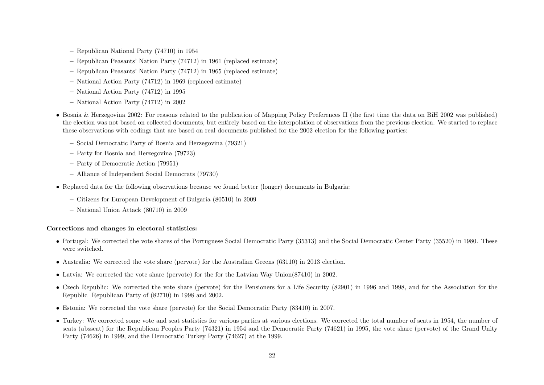- Republican National Party (74710) in 1954
- Republican Peasants' Nation Party (74712) in 1961 (replaced estimate)
- Republican Peasants' Nation Party (74712) in 1965 (replaced estimate)
- National Action Party (74712) in 1969 (replaced estimate)
- National Action Party (74712) in 1995
- National Action Party (74712) in 2002
- Bosnia & Herzegovina 2002: For reasons related to the publication of Mapping Policy Preferences II (the first time the data on BiH 2002 was published) the election was not based on collected documents, but entirely based on the interpolation of observations from the previous election. We started to replace these observations with codings that are based on real documents published for the 2002 election for the following parties:
	- Social Democratic Party of Bosnia and Herzegovina (79321)
	- Party for Bosnia and Herzegovina (79723)
	- Party of Democratic Action (79951)
	- Alliance of Independent Social Democrats (79730)
- Replaced data for the following observations because we found better (longer) documents in Bulgaria:
	- Citizens for European Development of Bulgaria (80510) in 2009
	- National Union Attack (80710) in 2009

#### Corrections and changes in electoral statistics:

- Portugal: We corrected the vote shares of the Portuguese Social Democratic Party (35313) and the Social Democratic Center Party (35520) in 1980. These were switched.
- Australia: We corrected the vote share (pervote) for the Australian Greens (63110) in 2013 election.
- Latvia: We corrected the vote share (pervote) for the for the Latvian Way Union(87410) in 2002.
- Czech Republic: We corrected the vote share (pervote) for the Pensioners for a Life Security (82901) in 1996 and 1998, and for the Association for the Republic Republican Party of (82710) in 1998 and 2002.
- Estonia: We corrected the vote share (pervote) for the Social Democratic Party (83410) in 2007.
- Turkey: We corrected some vote and seat statistics for various parties at various elections. We corrected the total number of seats in 1954, the number of seats (absseat) for the Republican Peoples Party (74321) in 1954 and the Democratic Party (74621) in 1995, the vote share (pervote) of the Grand Unity Party (74626) in 1999, and the Democratic Turkey Party (74627) at the 1999.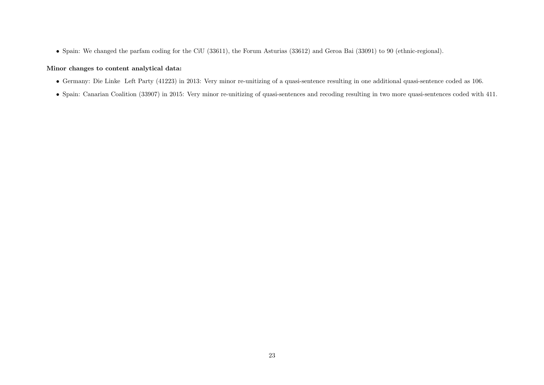• Spain: We changed the parfam coding for the CiU (33611), the Forum Asturias (33612) and Geroa Bai (33091) to 90 (ethnic-regional).

# Minor changes to content analytical data:

- Germany: Die Linke Left Party (41223) in 2013: Very minor re-unitizing of a quasi-sentence resulting in one additional quasi-sentence coded as 106.
- Spain: Canarian Coalition (33907) in 2015: Very minor re-unitizing of quasi-sentences and recoding resulting in two more quasi-sentences coded with 411.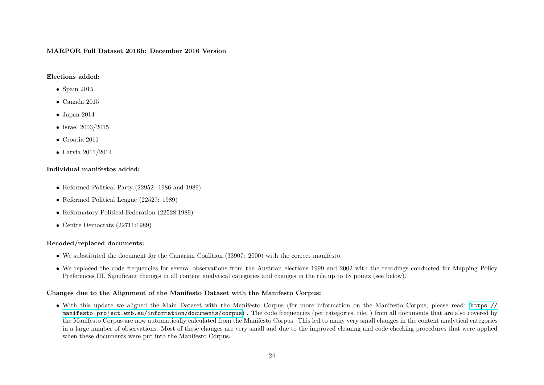#### MARPOR Full Dataset 2016b: December 2016 Version

#### Elections added:

- Spain 2015
- Canada 2015
- Japan 2014
- Israel  $2003/2015$
- Croatia 2011
- Latvia 2011/2014

# Individual manifestos added:

- Reformed Political Party (22952: 1986 and 1989)
- Reformed Political League (22527: 1989)
- Reformatory Political Federation (22528:1989)
- Centre Democrats (22711:1989)

#### Recoded/replaced documents:

- We substituted the document for the Canarian Coalition (33907: 2000) with the correct manifesto
- We replaced the code frequencies for several observations from the Austrian elections 1999 and 2002 with the recodings conducted for Mapping Policy Preferences III. Significant changes in all content analytical categories and changes in the rile up to 18 points (see below).

#### Changes due to the Alignment of the Manifesto Dataset with the Manifesto Corpus:

• With this update we aligned the Main Dataset with the Manifesto Corpus (for more information on the Manifesto Corpus, please read: [https://](https://manifesto-project.wzb.eu/information/documents/corpus) [manifesto-project.wzb.eu/information/documents/corpus](https://manifesto-project.wzb.eu/information/documents/corpus)) . The code frequencies (per categories, rile, ) from all documents that are also covered by the Manifesto Corpus are now automatically calculated from the Manifesto Corpus. This led to many very small changes in the content analytical categories in a large number of observations. Most of these changes are very small and due to the improved cleaning and code checking procedures that were applied when these documents were put into the Manifesto Corpus.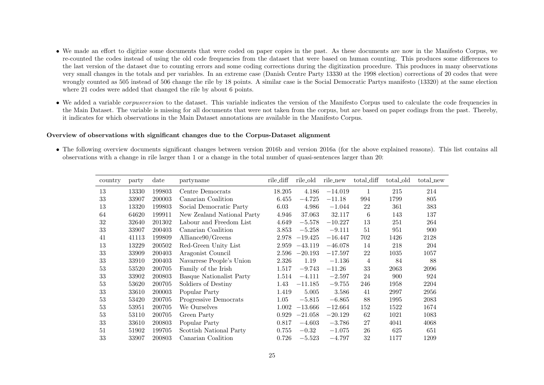- We made an effort to digitize some documents that were coded on paper copies in the past. As these documents are now in the Manifesto Corpus, we re-counted the codes instead of using the old code frequencies from the dataset that were based on human counting. This produces some differences to the last version of the dataset due to counting errors and some coding corrections during the digitization procedure. This produces in many observations very small changes in the totals and per variables. In an extreme case (Danish Centre Party 13330 at the 1998 election) corrections of 20 codes that were wrongly counted as 505 instead of 506 change the rile by 18 points. A similar case is the Social Democratic Partys manifesto (13320) at the same election where 21 codes were added that changed the rile by about 6 points.
- We added a variable *corpusversion* to the dataset. This variable indicates the version of the Manifesto Corpus used to calculate the code frequencies in the Main Dataset. The variable is missing for all documents that were not taken from the corpus, but are based on paper codings from the past. Thereby, it indicates for which observations in the Main Dataset annotations are available in the Manifesto Corpus.

#### Overview of observations with significant changes due to the Corpus-Dataset alignment

• The following overview documents significant changes between version 2016b and version 2016a (for the above explained reasons). This list contains all observations with a change in rile larger than 1 or a change in the total number of quasi-sentences larger than 20:

| country | party | date   | partyname                       | rile_diff | rile_old  | rile_new  | total_diff | total_old | total_new |
|---------|-------|--------|---------------------------------|-----------|-----------|-----------|------------|-----------|-----------|
| 13      | 13330 | 199803 | Centre Democrats                | 18.205    | 4.186     | $-14.019$ |            | 215       | 214       |
| 33      | 33907 | 200003 | Canarian Coalition              | 6.455     | $-4.725$  | $-11.18$  | 994        | 1799      | 805       |
| 13      | 13320 | 199803 | Social Democratic Party         | 6.03      | 4.986     | $-1.044$  | 22         | 361       | 383       |
| 64      | 64620 | 199911 | New Zealand National Party      | 4.946     | 37.063    | 32.117    | 6          | 143       | 137       |
| 32      | 32640 | 201302 | Labour and Freedom List         | 4.649     | $-5.578$  | $-10.227$ | 13         | 251       | 264       |
| 33      | 33907 | 200403 | Canarian Coalition              | 3.853     | $-5.258$  | $-9.111$  | 51         | 951       | 900       |
| 41      | 41113 | 199809 | Alliance90/Greens               | 2.978     | $-19.425$ | $-16.447$ | 702        | 1426      | 2128      |
| 13      | 13229 | 200502 | Red-Green Unity List            | 2.959     | $-43.119$ | $-46.078$ | 14         | 218       | 204       |
| 33      | 33909 | 200403 | Aragonist Council               | 2.596     | $-20.193$ | $-17.597$ | 22         | 1035      | 1057      |
| 33      | 33910 | 200403 | Navarrese People's Union        | 2.326     | 1.19      | $-1.136$  | 4          | 84        | 88        |
| 53      | 53520 | 200705 | Family of the Irish             | 1.517     | $-9.743$  | $-11.26$  | 33         | 2063      | 2096      |
| 33      | 33902 | 200803 | <b>Basque Nationalist Party</b> | 1.514     | $-4.111$  | $-2.597$  | 24         | 900       | 924       |
| 53      | 53620 | 200705 | Soldiers of Destiny             | 1.43      | $-11.185$ | $-9.755$  | 246        | 1958      | 2204      |
| 33      | 33610 | 200003 | Popular Party                   | 1.419     | 5.005     | 3.586     | 41         | 2997      | 2956      |
| 53      | 53420 | 200705 | Progressive Democrats           | 1.05      | $-5.815$  | $-6.865$  | 88         | 1995      | 2083      |
| 53      | 53951 | 200705 | We Ourselves                    | 1.002     | $-13.666$ | $-12.664$ | 152        | 1522      | 1674      |
| 53      | 53110 | 200705 | Green Party                     | 0.929     | $-21.058$ | $-20.129$ | 62         | 1021      | 1083      |
| 33      | 33610 | 200803 | Popular Party                   | 0.817     | $-4.603$  | $-3.786$  | 27         | 4041      | 4068      |
| 51      | 51902 | 199705 | Scottish National Party         | 0.755     | $-0.32$   | $-1.075$  | 26         | 625       | 651       |
| 33      | 33907 | 200803 | Canarian Coalition              | 0.726     | $-5.523$  | $-4.797$  | 32         | 1177      | 1209      |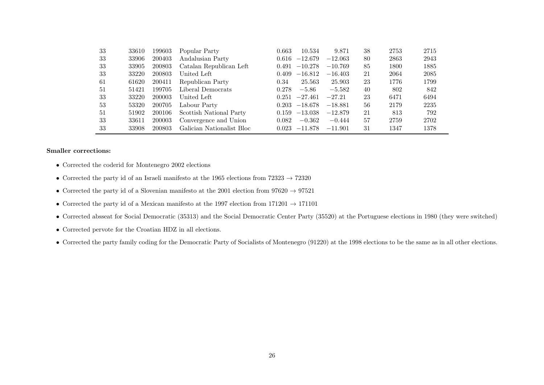| 33 | 33610 | 199603 | Popular Party             | 0.663 | 10.534          | 9.871     | 38 | 2753 | 2715 |
|----|-------|--------|---------------------------|-------|-----------------|-----------|----|------|------|
| 33 | 33906 | 200403 | Andalusian Party          | 0.616 | $-12.679$       | $-12.063$ | 80 | 2863 | 2943 |
| 33 | 33905 | 200803 | Catalan Republican Left   | 0.491 | $-10.278$       | $-10.769$ | 85 | 1800 | 1885 |
| 33 | 33220 | 200803 | United Left               | 0.409 | $-16.812$       | $-16.403$ | 21 | 2064 | 2085 |
| 61 | 61620 | 200411 | Republican Party          | 0.34  | 25.563          | 25.903    | 23 | 1776 | 1799 |
| 51 | 51421 | 199705 | Liberal Democrats         | 0.278 | $-5.86$         | $-5.582$  | 40 | 802  | 842  |
| 33 | 33220 | 200003 | United Left               | 0.251 | $-27.461$       | $-27.21$  | 23 | 6471 | 6494 |
| 53 | 53320 | 200705 | Labour Party              | 0.203 | $-18.678$       | $-18.881$ | 56 | 2179 | 2235 |
| 51 | 51902 | 200106 | Scottish National Party   | 0.159 | $-13.038$       | $-12.879$ | 21 | 813  | 792  |
| 33 | 33611 | 200003 | Convergence and Union     | 0.082 | $-0.362$        | $-0.444$  | 57 | 2759 | 2702 |
| 33 | 33908 | 200803 | Galician Nationalist Bloc |       | $0.023 -11.878$ | $-11.901$ | 31 | 1347 | 1378 |

#### Smaller corrections:

- Corrected the coderid for Montenegro 2002 elections
- Corrected the party id of an Israeli manifesto at the 1965 elections from  $72323 \rightarrow 72320$
- Corrected the party id of a Slovenian manifesto at the 2001 election from  $97620 \rightarrow 97521$
- Corrected the party id of a Mexican manifesto at the 1997 election from  $171201 \rightarrow 171101$
- Corrected absseat for Social Democratic (35313) and the Social Democratic Center Party (35520) at the Portuguese elections in 1980 (they were switched)
- Corrected pervote for the Croatian HDZ in all elections.
- Corrected the party family coding for the Democratic Party of Socialists of Montenegro (91220) at the 1998 elections to be the same as in all other elections.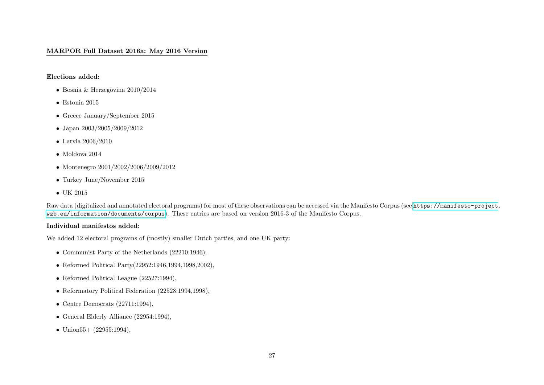## MARPOR Full Dataset 2016a: May 2016 Version

Elections added:

- Bosnia & Herzegovina 2010/2014
- Estonia 2015
- Greece January/September 2015
- Japan 2003/2005/2009/2012
- Latvia 2006/2010
- $\bullet~$  Moldova $2014$
- Montenegro 2001/2002/2006/2009/2012
- Turkey June/November 2015
- UK 2015

Raw data (digitalized and annotated electoral programs) for most of these observations can be accessed via the Manifesto Corpus (see [https://manifesto-project.](https://manifesto-project.wzb.eu/information/documents/corpus) [wzb.eu/information/documents/corpus](https://manifesto-project.wzb.eu/information/documents/corpus)). These entries are based on version 2016-3 of the Manifesto Corpus.

#### Individual manifestos added:

We added 12 electoral programs of (mostly) smaller Dutch parties, and one UK party:

- Communist Party of the Netherlands (22210:1946),
- Reformed Political Party(22952:1946,1994,1998,2002),
- Reformed Political League (22527:1994),
- Reformatory Political Federation (22528:1994,1998),
- Centre Democrats  $(22711:1994)$ ,
- General Elderly Alliance (22954:1994),
- Union  $55 + (22955:1994)$ ,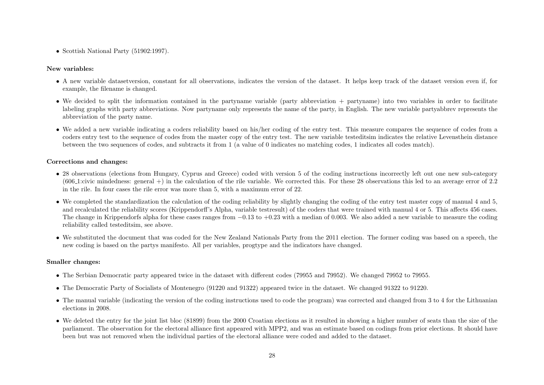• Scottish National Party (51902:1997).

# New variables:

- A new variable datasetversion, constant for all observations, indicates the version of the dataset. It helps keep track of the dataset version even if, for example, the filename is changed.
- We decided to split the information contained in the partyname variable (party abbreviation + partyname) into two variables in order to facilitate labeling graphs with party abbreviations. Now partyname only represents the name of the party, in English. The new variable partyabbrev represents the abbreviation of the party name.
- We added a new variable indicating a coders reliability based on his/her coding of the entry test. This measure compares the sequence of codes from a coders entry test to the sequence of codes from the master copy of the entry test. The new variable testeditsim indicates the relative Levensthein distance between the two sequences of codes, and subtracts it from 1 (a value of 0 indicates no matching codes, 1 indicates all codes match).

# Corrections and changes:

- 28 observations (elections from Hungary, Cyprus and Greece) coded with version 5 of the coding instructions incorrectly left out one new sub-category  $(606 \text{--} 1):$  civic mindedness: general +) in the calculation of the rile variable. We corrected this. For these 28 observations this led to an average error of 2.2 in the rile. In four cases the rile error was more than 5, with a maximum error of 22.
- We completed the standardization the calculation of the coding reliability by slightly changing the coding of the entry test master copy of manual 4 and 5, and recalculated the reliability scores (Krippendorff's Alpha, variable testresult) of the coders that were trained with manual 4 or 5. This affects 456 cases. The change in Krippendorfs alpha for these cases ranges from  $-0.13$  to  $+0.23$  with a median of 0.003. We also added a new variable to measure the coding reliability called testeditsim, see above.
- We substituted the document that was coded for the New Zealand Nationals Party from the 2011 election. The former coding was based on a speech, the new coding is based on the partys manifesto. All per variables, progtype and the indicators have changed.

#### Smaller changes:

- The Serbian Democratic party appeared twice in the dataset with different codes (79955 and 79952). We changed 79952 to 79955.
- The Democratic Party of Socialists of Montenegro (91220 and 91322) appeared twice in the dataset. We changed 91322 to 91220.
- The manual variable (indicating the version of the coding instructions used to code the program) was corrected and changed from 3 to 4 for the Lithuanian elections in 2008.
- We deleted the entry for the joint list bloc (81899) from the 2000 Croatian elections as it resulted in showing a higher number of seats than the size of the parliament. The observation for the electoral alliance first appeared with MPP2, and was an estimate based on codings from prior elections. It should have been but was not removed when the individual parties of the electoral alliance were coded and added to the dataset.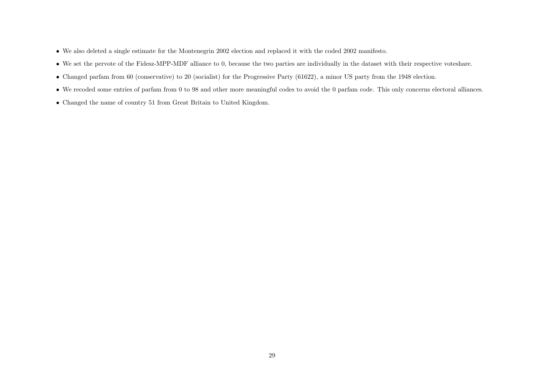- We also deleted a single estimate for the Montenegrin 2002 election and replaced it with the coded 2002 manifesto.
- We set the pervote of the Fidesz-MPP-MDF alliance to 0, because the two parties are individually in the dataset with their respective voteshare.
- Changed parfam from 60 (conservative) to 20 (socialist) for the Progressive Party (61622), a minor US party from the 1948 election.
- We recoded some entries of parfam from 0 to 98 and other more meaningful codes to avoid the 0 parfam code. This only concerns electoral alliances.
- Changed the name of country 51 from Great Britain to United Kingdom.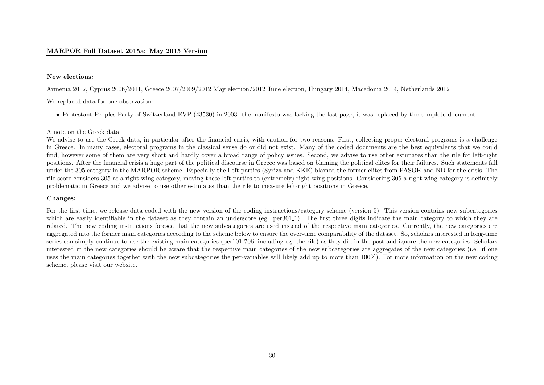#### MARPOR Full Dataset 2015a: May 2015 Version

#### New elections:

Armenia 2012, Cyprus 2006/2011, Greece 2007/2009/2012 May election/2012 June election, Hungary 2014, Macedonia 2014, Netherlands 2012

We replaced data for one observation:

• Protestant Peoples Party of Switzerland EVP (43530) in 2003: the manifesto was lacking the last page, it was replaced by the complete document

#### A note on the Greek data:

We advise to use the Greek data, in particular after the financial crisis, with caution for two reasons. First, collecting proper electoral programs is a challenge in Greece. In many cases, electoral programs in the classical sense do or did not exist. Many of the coded documents are the best equivalents that we could find, however some of them are very short and hardly cover a broad range of policy issues. Second, we advise to use other estimates than the rile for left-right positions. After the financial crisis a huge part of the political discourse in Greece was based on blaming the political elites for their failures. Such statements fall under the 305 category in the MARPOR scheme. Especially the Left parties (Syriza and KKE) blamed the former elites from PASOK and ND for the crisis. The rile score considers 305 as a right-wing category, moving these left parties to (extremely) right-wing positions. Considering 305 a right-wing category is definitely problematic in Greece and we advise to use other estimates than the rile to measure left-right positions in Greece.

#### Changes:

For the first time, we release data coded with the new version of the coding instructions/category scheme (version 5). This version contains new subcategories which are easily identifiable in the dataset as they contain an underscore (eg. per301.1). The first three digits indicate the main category to which they are related. The new coding instructions foresee that the new subcategories are used instead of the respective main categories. Currently, the new categories are aggregated into the former main categories according to the scheme below to ensure the over-time comparability of the dataset. So, scholars interested in long-time series can simply continue to use the existing main categories (per101-706, including eg. the rile) as they did in the past and ignore the new categories. Scholars interested in the new categories should be aware that the respective main categories of the new subcategories are aggregates of the new categories (i.e. if one uses the main categories together with the new subcategories the per-variables will likely add up to more than 100%). For more information on the new coding scheme, please visit our website.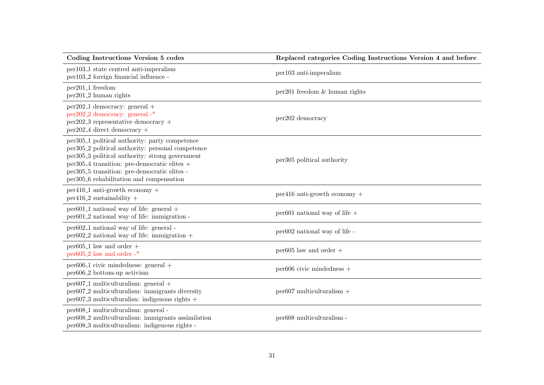| Coding Instructions Version 5 codes                                                                                                                                                                                                                                                                                                                                        | Replaced categories Coding Instructions Version 4 and before |
|----------------------------------------------------------------------------------------------------------------------------------------------------------------------------------------------------------------------------------------------------------------------------------------------------------------------------------------------------------------------------|--------------------------------------------------------------|
| per103 <sub>-1</sub> state centred anti-imperalism<br>per103 <sub>-2</sub> foreign financial influence -                                                                                                                                                                                                                                                                   | per103 anti-imperalism                                       |
| per201 <sub>-1</sub> freedom<br>per201 <sub>-2</sub> human rights                                                                                                                                                                                                                                                                                                          | $per201$ freedom & human rights                              |
| $per202.1$ democracy: general +<br>per202 <sub>-2</sub> democracy: general -*<br>$per202.3$ representative democracy +<br>$per202_4$ direct democracy +                                                                                                                                                                                                                    | per202 democracy                                             |
| per305 <sub>-1</sub> political authority: party competence<br>per305 <sub>-2</sub> political authority: personal competence<br>per305 <sub>-3</sub> political authority: strong government<br>per305 <sub>-4</sub> transition: pre-democratic elites +<br>per305 <sub>-5</sub> transition: pre-democratic elites -<br>per305 <sub>-6</sub> rehabilitation and compensation | per305 political authority                                   |
| $per416-1$ anti-growth economy +<br>$per416_2$ sustainability +                                                                                                                                                                                                                                                                                                            | $per416$ anti-growth economy +                               |
| $per601_1$ national way of life: general $+$<br>per601 <sub>-2</sub> national way of life: immigration -                                                                                                                                                                                                                                                                   | per601 national way of life $+$                              |
| per602 <sub>-1</sub> national way of life: general -<br>$per602.2$ national way of life: immigration +                                                                                                                                                                                                                                                                     | per602 national way of life -                                |
| $per605_1$ law and order +<br>per $605.2$ law and order -*                                                                                                                                                                                                                                                                                                                 | $per605$ law and order $+$                                   |
| $per606-1$ civic mindedness: general $+$<br>per606 <sub>-2</sub> bottom-up activism                                                                                                                                                                                                                                                                                        | $per606$ civic mindedness $+$                                |
| $per607_1$ multiculturalism: general $+$<br>per607 <sub>-2</sub> multiculturalism: immigrants diversity<br>$per607_3$ multiculturalism: indigenous rights +                                                                                                                                                                                                                | $per607$ multiculturalism +                                  |
| per608 <sub>-1</sub> multiculturalism: general -<br>per608 <sub>-2</sub> mulitculturalism: immigrants assimilation<br>per608 <sub>-3</sub> multiculturalism: indigenous rights -                                                                                                                                                                                           | per608 multiculturalism -                                    |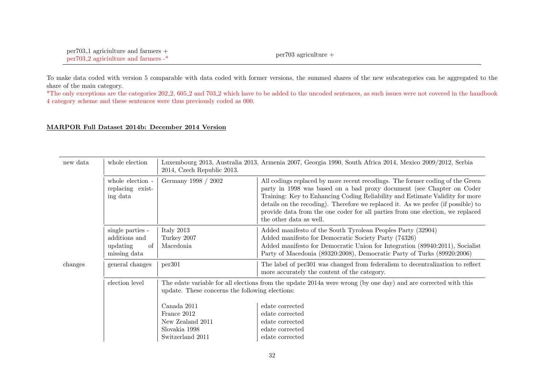To make data coded with version 5 comparable with data coded with former versions, the summed shares of the new subcategories can be aggregated to the share of the main category.

\*The only exceptions are the categories 202 2, 605 2 and 703 2 which have to be added to the uncoded sentences, as such issues were not covered in the handbook 4 category scheme and these sentences were thus previously coded as 000.

#### MARPOR Full Dataset 2014b: December 2014 Version

| new data | whole election                                                       | Luxembourg 2013, Australia 2013, Armenia 2007, Georgia 1990, South Africa 2014, Mexico 2009/2012, Serbia<br>2014, Czech Republic 2013.                                                              |                                                                                                                                                                                                                                                                                                                                                                                                                                          |  |  |
|----------|----------------------------------------------------------------------|-----------------------------------------------------------------------------------------------------------------------------------------------------------------------------------------------------|------------------------------------------------------------------------------------------------------------------------------------------------------------------------------------------------------------------------------------------------------------------------------------------------------------------------------------------------------------------------------------------------------------------------------------------|--|--|
|          | whole election -<br>replacing exist-<br>ing data                     | Germany 1998 / 2002                                                                                                                                                                                 | All codings replaced by more recent recodings. The former coding of the Green<br>party in 1998 was based on a bad proxy document (see Chapter on Coder<br>Training: Key to Enhancing Coding Reliability and Estimate Validity for more<br>details on the recoding). Therefore we replaced it. As we prefer (if possible) to<br>provide data from the one coder for all parties from one election, we replaced<br>the other data as well. |  |  |
|          | single parties -<br>additions and<br>updating<br>-of<br>missing data | Italy 2013<br>Turkey 2007<br>Macedonia                                                                                                                                                              | Added manifesto of the South Tyrolean Peoples Party (32904)<br>Added manifesto for Democratic Society Party (74326)<br>Added manifesto for Democratic Union for Integration (89940:2011), Socialist<br>Party of Macedonia (89320:2008), Democratic Party of Turks (89920:2006)                                                                                                                                                           |  |  |
| changes  | general changes                                                      | per301                                                                                                                                                                                              | The label of per301 was changed from federalism to decentralization to reflect<br>more accurately the content of the category.                                                                                                                                                                                                                                                                                                           |  |  |
|          | election level                                                       | The edate variable for all elections from the update 2014a were wrong (by one day) and are corrected with this<br>update. These concerns the following elections:<br>Canada 2011<br>edate corrected |                                                                                                                                                                                                                                                                                                                                                                                                                                          |  |  |
|          |                                                                      | France 2012<br>New Zealand 2011<br>Slovakia 1998                                                                                                                                                    | edate corrected<br>edate corrected<br>edate corrected                                                                                                                                                                                                                                                                                                                                                                                    |  |  |
|          |                                                                      | Switzerland 2011                                                                                                                                                                                    | edate corrected                                                                                                                                                                                                                                                                                                                                                                                                                          |  |  |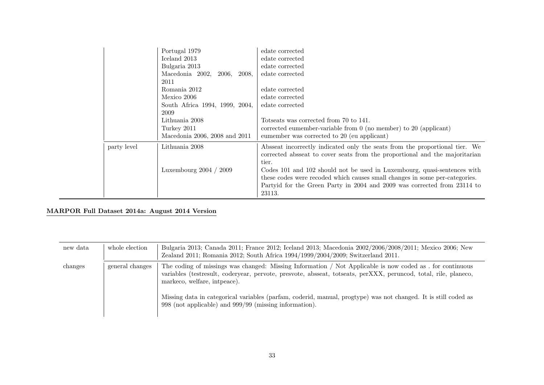|             | Portugal 1979<br>Iceland 2013<br>Bulgaria 2013<br>Macedonia 2002,<br>2006,<br>2008,<br>2011<br>Romania 2012 | edate corrected<br>edate corrected<br>edate corrected<br>edate corrected<br>edate corrected                                                                                                                                                   |
|-------------|-------------------------------------------------------------------------------------------------------------|-----------------------------------------------------------------------------------------------------------------------------------------------------------------------------------------------------------------------------------------------|
|             | Mexico 2006<br>South Africa 1994, 1999, 2004,<br>2009<br>Lithuania 2008                                     | edate corrected<br>edate corrected<br>Totseats was corrected from 70 to 141.                                                                                                                                                                  |
|             | Turkey 2011<br>Macedonia 2006, 2008 and 2011                                                                | corrected eumember-variable from $0$ (no member) to $20$ (applicant)<br>eumember was corrected to 20 (eu applicant)                                                                                                                           |
| party level | Lithuania 2008                                                                                              | Absseat incorrectly indicated only the seats from the proportional tier. We<br>corrected absent to cover seats from the proportional and the majoritarian<br>tier.                                                                            |
|             | Luxembourg $2004 / 2009$                                                                                    | Codes 101 and 102 should not be used in Luxembourg, quasi-sentences with<br>these codes were recoded which causes small changes in some per-categories.<br>Partyid for the Green Party in 2004 and 2009 was corrected from 23114 to<br>23113. |

# MARPOR Full Dataset 2014a: August 2014 Version

| new data | whole election  | Bulgaria 2013; Canada 2011; France 2012; Iceland 2013; Macedonia 2002/2006/2008/2011; Mexico 2006; New<br>Zealand 2011; Romania 2012; South Africa 1994/1999/2004/2009; Switzerland 2011.                                                                                                                                                                                       |
|----------|-----------------|---------------------------------------------------------------------------------------------------------------------------------------------------------------------------------------------------------------------------------------------------------------------------------------------------------------------------------------------------------------------------------|
| changes  | general changes | The coding of missings was changed: Missing Information / Not Applicable is now coded as . for continuous<br>variables (testresult, coderyear, pervote, presvote, absseat, totseats, perXXX, peruncod, total, rile, planeco,<br>markeco, welfare, intpeace).<br>Missing data in categorical variables (parfam, coderid, manual, progtype) was not changed. It is still coded as |
|          |                 | 998 (not applicable) and 999/99 (missing information).                                                                                                                                                                                                                                                                                                                          |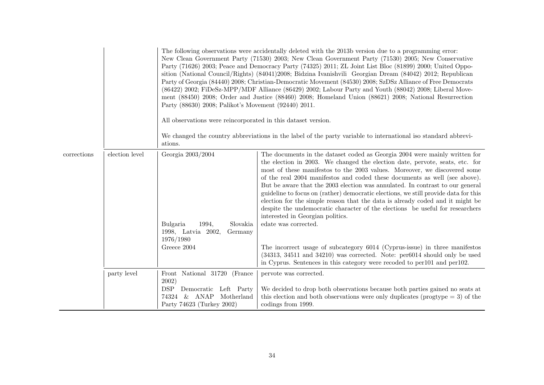|             |                | The following observations were accidentally deleted with the 2013b version due to a programming error:<br>New Clean Government Party (71530) 2003; New Clean Government Party (71530) 2005; New Conservative<br>Party (71626) 2003; Peace and Democracy Party (74325) 2011; ZL Joint List Bloc (81899) 2000; United Oppo-<br>sition (National Council/Rights) (84041)2008; Bidzina Ivanishvili Georgian Dream (84042) 2012; Republican<br>Party of Georgia (84440) 2008; Christian-Democratic Movement (84530) 2008; SzDSz Alliance of Free Democrats<br>(86422) 2002; FiDeSz-MPP/MDF Alliance (86429) 2002; Labour Party and Youth (88042) 2008; Liberal Move-<br>ment (88450) 2008; Order and Justice (88460) 2008; Homeland Union (88621) 2008; National Resurrection<br>Party (88630) 2008; Palikot's Movement (92440) 2011.<br>All observations were reincorporated in this dataset version.<br>We changed the country abbreviations in the label of the party variable to international iso standard abbrevi-<br>ations. |                                                                                                                                                                                                                                                                                                                                                                                                                                                                                                                                                                                                                                                                                                                                                                                                                                                                                                                                                                      |  |  |  |
|-------------|----------------|---------------------------------------------------------------------------------------------------------------------------------------------------------------------------------------------------------------------------------------------------------------------------------------------------------------------------------------------------------------------------------------------------------------------------------------------------------------------------------------------------------------------------------------------------------------------------------------------------------------------------------------------------------------------------------------------------------------------------------------------------------------------------------------------------------------------------------------------------------------------------------------------------------------------------------------------------------------------------------------------------------------------------------|----------------------------------------------------------------------------------------------------------------------------------------------------------------------------------------------------------------------------------------------------------------------------------------------------------------------------------------------------------------------------------------------------------------------------------------------------------------------------------------------------------------------------------------------------------------------------------------------------------------------------------------------------------------------------------------------------------------------------------------------------------------------------------------------------------------------------------------------------------------------------------------------------------------------------------------------------------------------|--|--|--|
| corrections | election level | Georgia 2003/2004<br>Slovakia<br>Bulgaria<br>1994,<br>1998, Latvia 2002,<br>Germany<br>1976/1980<br>Greece 2004                                                                                                                                                                                                                                                                                                                                                                                                                                                                                                                                                                                                                                                                                                                                                                                                                                                                                                                 | The documents in the dataset coded as Georgia 2004 were mainly written for<br>the election in 2003. We changed the election date, pervote, seats, etc. for<br>most of these manifestos to the 2003 values. Moreover, we discovered some<br>of the real 2004 manifestos and coded these documents as well (see above).<br>But be aware that the 2003 election was annulated. In contrast to our general<br>guideline to focus on (rather) democratic elections, we still provide data for this<br>election for the simple reason that the data is already coded and it might be<br>despite the undemocratic character of the elections be useful for researchers<br>interested in Georgian politics.<br>edate was corrected.<br>The incorrect usage of subcategory 6014 (Cyprus-issue) in three manifestos<br>$(34313, 34511, 34210)$ was corrected. Note: per $6014$ should only be used<br>in Cyprus. Sentences in this category were recoded to per101 and per102. |  |  |  |
|             | party level    | Front National 31720 (France<br>2002)<br><b>DSP</b><br>Democratic Left Party<br>74324 & ANAP<br>Motherland<br>Party 74623 (Turkey 2002)                                                                                                                                                                                                                                                                                                                                                                                                                                                                                                                                                                                                                                                                                                                                                                                                                                                                                         | pervote was corrected.<br>We decided to drop both observations because both parties gained no seats at<br>this election and both observations were only duplicates (progtype $=$ 3) of the<br>codings from 1999.                                                                                                                                                                                                                                                                                                                                                                                                                                                                                                                                                                                                                                                                                                                                                     |  |  |  |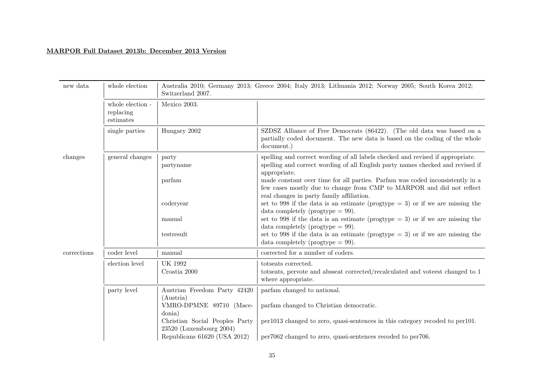# MARPOR Full Dataset 2013b: December 2013 Version

| new data    | whole election<br>Australia 2010; Germany 2013; Greece 2004; Italy 2013; Lithuania 2012; Norway 2005; South Korea 2012;<br>Switzerland 2007. |                                                           |                                                                                                                                                                                                     |  |  |
|-------------|----------------------------------------------------------------------------------------------------------------------------------------------|-----------------------------------------------------------|-----------------------------------------------------------------------------------------------------------------------------------------------------------------------------------------------------|--|--|
|             | whole election -<br>replacing<br>estimates                                                                                                   | Mexico 2003.                                              |                                                                                                                                                                                                     |  |  |
|             | single parties                                                                                                                               | Hungary 2002                                              | SZDSZ Alliance of Free Democrats (86422). (The old data was based on a<br>partially coded document. The new data is based on the coding of the whole<br>document.)                                  |  |  |
| changes     | general changes                                                                                                                              | party<br>partyname                                        | spelling and correct wording of all labels checked and revised if appropriate.<br>spelling and correct wording of all English party names checked and revised if<br>appropriate.                    |  |  |
|             |                                                                                                                                              | parfam                                                    | made constant over time for all parties. Parfam was coded inconsistently in a<br>few cases mostly due to change from CMP to MARPOR and did not reflect<br>real changes in party family affiliation. |  |  |
|             |                                                                                                                                              | coderyear                                                 | set to 998 if the data is an estimate (progtype $=$ 3) or if we are missing the<br>data completely (progtype $= 99$ ).                                                                              |  |  |
|             |                                                                                                                                              | manual                                                    | set to 998 if the data is an estimate (progtype $= 3$ ) or if we are missing the<br>data completely (progtype $= 99$ ).                                                                             |  |  |
|             |                                                                                                                                              | testresult                                                | set to 998 if the data is an estimate (progtype $=$ 3) or if we are missing the<br>data completely (progtype $= 99$ ).                                                                              |  |  |
| corrections | coder level                                                                                                                                  | manual                                                    | corrected for a number of coders.                                                                                                                                                                   |  |  |
|             | election level                                                                                                                               | <b>UK 1992</b>                                            | totseats corrected.                                                                                                                                                                                 |  |  |
|             |                                                                                                                                              | Croatia 2000                                              | totseats, pervote and absseat corrected/recalculated and voteest changed to 1<br>where appropriate.                                                                                                 |  |  |
|             | party level                                                                                                                                  | Austrian Freedom Party 42420<br>(Austria)                 | parfam changed to national.                                                                                                                                                                         |  |  |
|             |                                                                                                                                              | VMRO-DPMNE 89710 (Mace-<br>donia)                         | parfam changed to Christian democratic.                                                                                                                                                             |  |  |
|             |                                                                                                                                              | Christian Social Peoples Party<br>23520 (Luxembourg 2004) | per1013 changed to zero, quasi-sentences in this category recoded to per101.                                                                                                                        |  |  |
|             |                                                                                                                                              | Republicans 61620 (USA 2012)                              | per7062 changed to zero, quasi-sentences recoded to per706.                                                                                                                                         |  |  |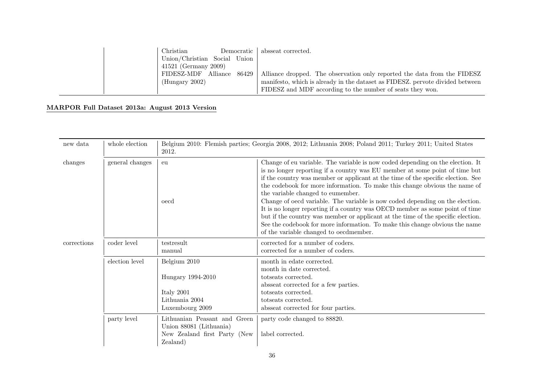| Christian              |       | Democratic   absseat corrected.                                               |
|------------------------|-------|-------------------------------------------------------------------------------|
| Union/Christian Social | Union |                                                                               |
| 41521 (Germany 2009)   |       |                                                                               |
| FIDESZ-MDF Alliance    | 86429 | Alliance dropped. The observation only reported the data from the FIDESZ      |
| (Hungary 2002)         |       | manifesto, which is already in the dataset as FIDESZ, pervote divided between |
|                        |       | FIDESZ and MDF according to the number of seats they won.                     |

# MARPOR Full Dataset 2013a: August 2013 Version

| new data    | whole election  | Belgium 2010: Flemish parties; Georgia 2008, 2012; Lithuania 2008; Poland 2011; Turkey 2011; United States<br>2012. |                                                                                                                                                                                                                                                                                                                                                                                                                                                                                                                                                                                                                                                                                                                                                    |  |  |  |
|-------------|-----------------|---------------------------------------------------------------------------------------------------------------------|----------------------------------------------------------------------------------------------------------------------------------------------------------------------------------------------------------------------------------------------------------------------------------------------------------------------------------------------------------------------------------------------------------------------------------------------------------------------------------------------------------------------------------------------------------------------------------------------------------------------------------------------------------------------------------------------------------------------------------------------------|--|--|--|
| changes     | general changes | eu<br>oecd                                                                                                          | Change of eu variable. The variable is now coded depending on the election. It<br>is no longer reporting if a country was EU member at some point of time but<br>if the country was member or applicant at the time of the specific election. See<br>the codebook for more information. To make this change obvious the name of<br>the variable changed to eumember.<br>Change of oecd variable. The variable is now coded depending on the election.<br>It is no longer reporting if a country was OECD member as some point of time<br>but if the country was member or applicant at the time of the specific election.<br>See the codebook for more information. To make this change obvious the name<br>of the variable changed to oecdmember. |  |  |  |
| corrections | coder level     | testresult<br>manual                                                                                                | corrected for a number of coders.<br>corrected for a number of coders.                                                                                                                                                                                                                                                                                                                                                                                                                                                                                                                                                                                                                                                                             |  |  |  |
|             | election level  | Belgium 2010<br>Hungary 1994-2010<br>Italy 2001<br>Lithuania 2004<br>Luxembourg 2009                                | month in edate corrected.<br>month in date corrected.<br>totseats corrected.<br>absseat corrected for a few parties.<br>totseats corrected.<br>totseats corrected.<br>absseat corrected for four parties.                                                                                                                                                                                                                                                                                                                                                                                                                                                                                                                                          |  |  |  |
|             | party level     | Lithuanian Peasant and Green<br>Union 88081 (Lithuania)<br>New Zealand first Party (New<br>Zealand)                 | party code changed to 88820.<br>label corrected.                                                                                                                                                                                                                                                                                                                                                                                                                                                                                                                                                                                                                                                                                                   |  |  |  |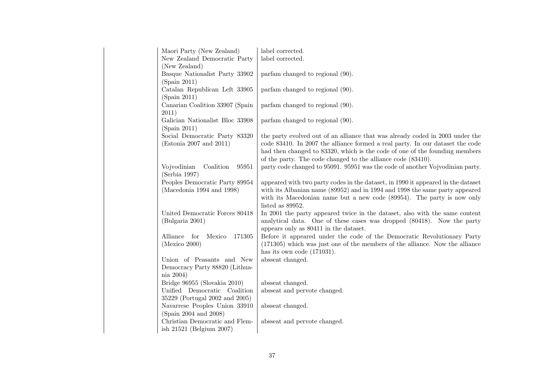| Maori Party (New Zealand)           | label corrected.                                                                 |
|-------------------------------------|----------------------------------------------------------------------------------|
| New Zealand Democratic Party        | label corrected.                                                                 |
| (New Zealand)                       |                                                                                  |
| Basque Nationalist Party 33902      | parfam changed to regional (90).                                                 |
| (Spain 2011)                        |                                                                                  |
| Catalan Republican Left 33905       | parfam changed to regional (90).                                                 |
| (Spain 2011)                        |                                                                                  |
| Canarian Coalition 33907 (Spain     | parfam changed to regional (90).                                                 |
| 2011)                               |                                                                                  |
| Galician Nationalist Bloc 33908     | parfam changed to regional (90).                                                 |
| (Spain 2011)                        |                                                                                  |
| Social Democratic Party 83320       | the party evolved out of an alliance that was already coded in 2003 under the    |
| (Estonia 2007 and 2011)             | code 83410. In 2007 the alliance formed a real party. In our dataset the code    |
|                                     | had then changed to 83320, which is the code of one of the founding members      |
|                                     | of the party. The code changed to the alliance code (83410).                     |
| Vojvodinian<br>Coalition<br>95951   | party code changed to 95091. 95951 was the code of another Vojvodinian party.    |
| (Serbia 1997)                       |                                                                                  |
| Peoples Democratic Party 89954      | appeared with two party codes in the dataset, in 1990 it appeared in the dataset |
| (Macedonia 1994 and 1998)           | with its Albanian name (89952) and in 1994 and 1998 the same party appeared      |
|                                     | with its Macedonian name but a new code (89954). The party is now only           |
|                                     | listed as 89952.                                                                 |
| United Democratic Forces 80418      | In 2001 the party appeared twice in the dataset, also with the same content      |
| (Bulgaria 2001)                     | analytical data. One of these cases was dropped (80418). Now the party           |
|                                     | appears only as 80411 in the dataset.                                            |
| Alliance<br>for<br>171305<br>Mexico | Before it appeared under the code of the Democratic Revolutionary Party          |
| (Mexico 2000)                       | $(171305)$ which was just one of the members of the alliance. Now the alliance   |
|                                     | has its own code $(171031)$ .                                                    |
| Union of Peasants and New           | absseat changed.                                                                 |
| Democracy Party 88820 (Lithua-      |                                                                                  |
| $nia\ 2004)$                        |                                                                                  |
| Bridge 96955 (Slovakia 2010)        | absseat changed.                                                                 |
| Unified Democratic Coalition        | absseat and pervote changed.                                                     |
| 35229 (Portugal 2002 and 2005)      |                                                                                  |
| Navarrese Peoples Union 33910       | absseat changed.                                                                 |
| (Spain 2004 and 2008)               |                                                                                  |
| Christian Democratic and Flem-      | absseat and pervote changed.                                                     |
| ish 21521 (Belgium 2007)            |                                                                                  |
|                                     |                                                                                  |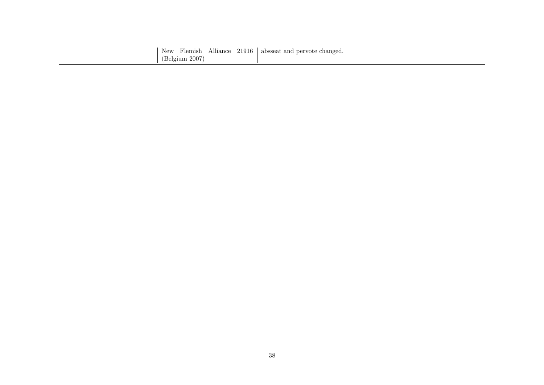|                |  | New Flemish Alliance 21916 absseat and pervote changed. |
|----------------|--|---------------------------------------------------------|
| (Belgium 2007) |  |                                                         |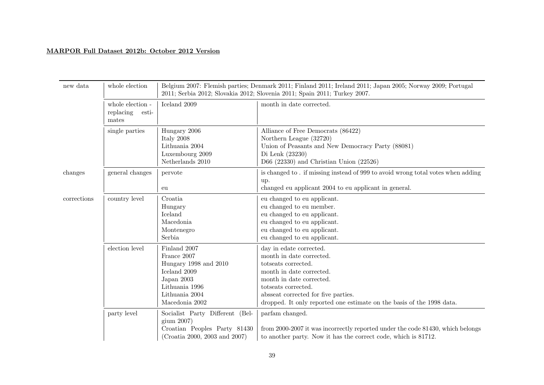# MARPOR Full Dataset 2012b: October 2012 Version

| new data    | whole election                                  | Belgium 2007: Flemish parties; Denmark 2011; Finland 2011; Ireland 2011; Japan 2005; Norway 2009; Portugal<br>2011; Serbia 2012; Slovakia 2012; Slovenia 2011; Spain 2011; Turkey 2007. |                                                                                                                                                                                                                                                                           |
|-------------|-------------------------------------------------|-----------------------------------------------------------------------------------------------------------------------------------------------------------------------------------------|---------------------------------------------------------------------------------------------------------------------------------------------------------------------------------------------------------------------------------------------------------------------------|
|             | whole election -<br>replacing<br>esti-<br>mates | Iceland 2009                                                                                                                                                                            | month in date corrected.                                                                                                                                                                                                                                                  |
|             | single parties                                  | Hungary 2006<br>Italy 2008<br>Lithuania 2004<br>Luxembourg 2009<br>Netherlands 2010                                                                                                     | Alliance of Free Democrats (86422)<br>Northern League (32720)<br>Union of Peasants and New Democracy Party (88081)<br>Di Lenk (23230)<br>D66 (22330) and Christian Union (22526)                                                                                          |
| changes     | general changes                                 | pervote<br>eu                                                                                                                                                                           | is changed to . if missing instead of 999 to avoid wrong total votes when adding<br>up.<br>changed eu applicant 2004 to eu applicant in general.                                                                                                                          |
| corrections | country level                                   | Croatia<br>Hungary<br>Iceland<br>Macedonia<br>Montenegro<br>Serbia                                                                                                                      | eu changed to eu applicant.<br>eu changed to eu member.<br>eu changed to eu applicant.<br>eu changed to eu applicant.<br>eu changed to eu applicant.<br>eu changed to eu applicant.                                                                                       |
|             | election level                                  | Finland 2007<br>France 2007<br>Hungary 1998 and 2010<br>Iceland 2009<br>Japan 2003<br>Lithuania 1996<br>Lithuania 2004<br>Macedonia 2002                                                | day in edate corrected.<br>month in date corrected.<br>totseats corrected.<br>month in date corrected.<br>month in date corrected.<br>totseats corrected.<br>absseat corrected for five parties.<br>dropped. It only reported one estimate on the basis of the 1998 data. |
|             | party level                                     | Socialist Party Different (Bel-<br>gium 2007)<br>Croatian Peoples Party 81430<br>(Croatia 2000, 2003 and 2007)                                                                          | parfam changed.<br>from 2000-2007 it was incorrectly reported under the code 81430, which belongs<br>to another party. Now it has the correct code, which is 81712.                                                                                                       |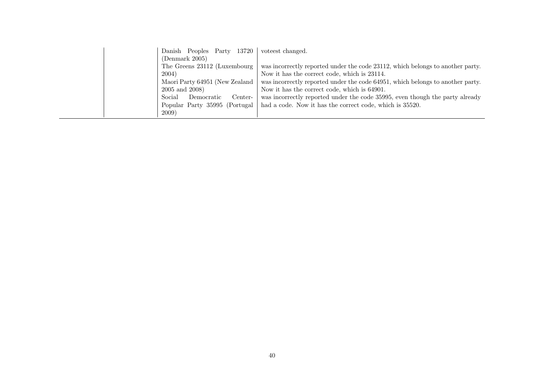| Danish Peoples Party 13720      | voteest changed.                                                               |
|---------------------------------|--------------------------------------------------------------------------------|
| (Demmark 2005)                  |                                                                                |
| The Greens 23112 (Luxembourg    | was incorrectly reported under the code 23112, which belongs to another party. |
| 2004)                           | Now it has the correct code, which is 23114.                                   |
| Maori Party 64951 (New Zealand  | was incorrectly reported under the code 64951, which belongs to another party. |
| 2005 and 2008)                  | Now it has the correct code, which is 64901.                                   |
| Social<br>Center-<br>Democratic | was incorrectly reported under the code 35995, even though the party already   |
| Popular Party 35995 (Portugal   | had a code. Now it has the correct code, which is 35520.                       |
| <b>2009</b> )                   |                                                                                |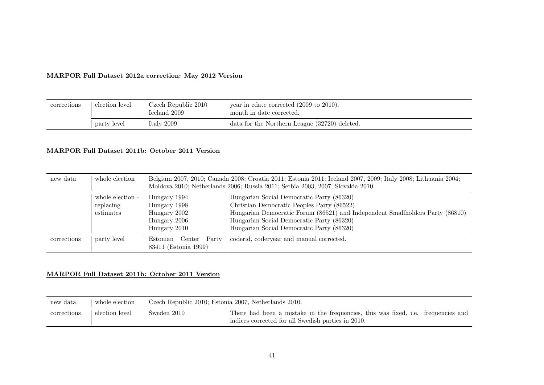# MARPOR Full Dataset 2012a correction: May 2012 Version

| corrections | election level | Czech Republic 2010<br>Iceland 2009 | vear in edate corrected $(2009 \text{ to } 2010)$ .<br>month in date corrected. |
|-------------|----------------|-------------------------------------|---------------------------------------------------------------------------------|
|             | party level    | Italy $2009$                        | data for the Northern League (32720) deleted.                                   |

# MARPOR Full Dataset 2011b: October 2011 Version

| new data    | whole election   | Belgium 2007, 2010; Canada 2008; Croatia 2011; Estonia 2011; Iceland 2007, 2009; Italy 2008; Lithuania 2004;<br>Moldova 2010; Netherlands 2006; Russia 2011; Serbia 2003, 2007; Slovakia 2010. |                                                                               |  |
|-------------|------------------|------------------------------------------------------------------------------------------------------------------------------------------------------------------------------------------------|-------------------------------------------------------------------------------|--|
|             | whole election - | Hungary 1994                                                                                                                                                                                   | Hungarian Social Democratic Party (86320)                                     |  |
|             | replacing        | Hungary 1998                                                                                                                                                                                   | Christian Democratic Peoples Party (86522)                                    |  |
|             | estimates        | Hungary 2002                                                                                                                                                                                   | Hungarian Democratic Forum (86521) and Independent Smallholders Party (86810) |  |
|             |                  | Hungary 2006                                                                                                                                                                                   | Hungarian Social Democratic Party (86320)                                     |  |
|             |                  | Hungary 2010                                                                                                                                                                                   | Hungarian Social Democratic Party (86320)                                     |  |
| corrections | party level      | Estonian Center Party<br>83411 (Estonia 1999)                                                                                                                                                  | coderid, codery ear and manual corrected.                                     |  |

# MARPOR Full Dataset 2011b: October 2011 Version

| new data    | whole election | Czech Republic 2010; Estonia 2007, Netherlands 2010. |                                                                                                                                         |
|-------------|----------------|------------------------------------------------------|-----------------------------------------------------------------------------------------------------------------------------------------|
| corrections | election level | Sweden 2010                                          | There had been a mistake in the frequencies, this was fixed, i.e. frequencies and<br>indices corrected for all Swedish parties in 2010. |